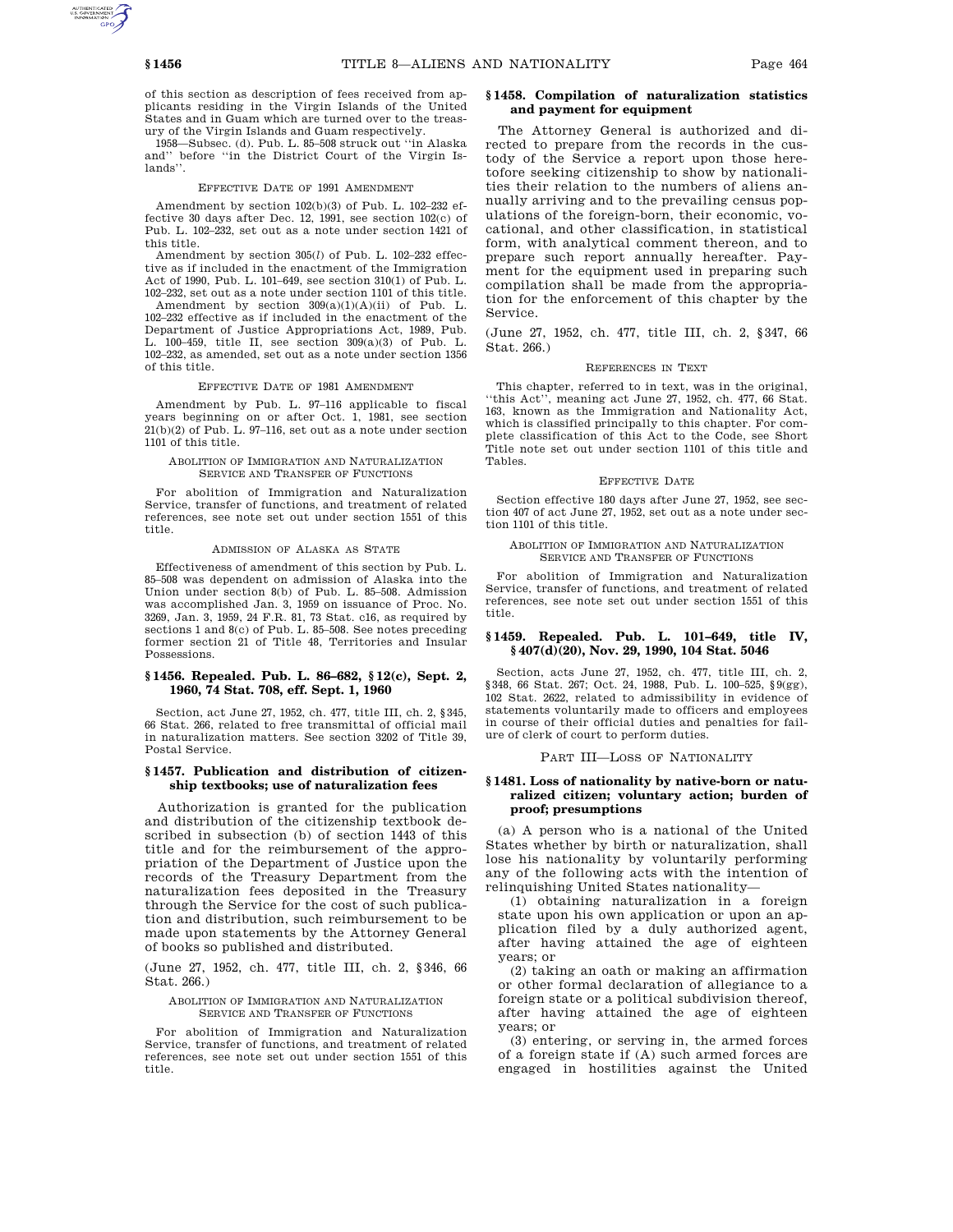of this section as description of fees received from applicants residing in the Virgin Islands of the United States and in Guam which are turned over to the treasury of the Virgin Islands and Guam respectively.

1958—Subsec. (d). Pub. L. 85–508 struck out ''in Alaska and'' before ''in the District Court of the Virgin Islands''.

# EFFECTIVE DATE OF 1991 AMENDMENT

Amendment by section 102(b)(3) of Pub. L. 102–232 effective 30 days after Dec. 12, 1991, see section 102(c) of Pub. L. 102–232, set out as a note under section 1421 of this title.

Amendment by section 305(*l*) of Pub. L. 102–232 effective as if included in the enactment of the Immigration Act of 1990, Pub. L. 101–649, see section 310(1) of Pub. L. 102–232, set out as a note under section 1101 of this title.

Amendment by section 309(a)(1)(A)(ii) of Pub. L. 102–232 effective as if included in the enactment of the Department of Justice Appropriations Act, 1989, Pub. L. 100–459, title II, see section 309(a)(3) of Pub. L. 102–232, as amended, set out as a note under section 1356 of this title.

### EFFECTIVE DATE OF 1981 AMENDMENT

Amendment by Pub. L. 97–116 applicable to fiscal years beginning on or after Oct. 1, 1981, see section 21(b)(2) of Pub. L. 97–116, set out as a note under section 1101 of this title.

# ABOLITION OF IMMIGRATION AND NATURALIZATION SERVICE AND TRANSFER OF FUNCTIONS

For abolition of Immigration and Naturalization Service, transfer of functions, and treatment of related references, see note set out under section 1551 of this title.

# ADMISSION OF ALASKA AS STATE

Effectiveness of amendment of this section by Pub. L. 85–508 was dependent on admission of Alaska into the Union under section 8(b) of Pub. L. 85–508. Admission was accomplished Jan. 3, 1959 on issuance of Proc. No. 3269, Jan. 3, 1959, 24 F.R. 81, 73 Stat. c16, as required by sections 1 and 8(c) of Pub. L. 85–508. See notes preceding former section 21 of Title 48, Territories and Insular Possessions.

# **§ 1456. Repealed. Pub. L. 86–682, § 12(c), Sept. 2, 1960, 74 Stat. 708, eff. Sept. 1, 1960**

Section, act June 27, 1952, ch. 477, title III, ch. 2, §345, 66 Stat. 266, related to free transmittal of official mail in naturalization matters. See section 3202 of Title 39, Postal Service.

# **§ 1457. Publication and distribution of citizenship textbooks; use of naturalization fees**

Authorization is granted for the publication and distribution of the citizenship textbook described in subsection (b) of section 1443 of this title and for the reimbursement of the appropriation of the Department of Justice upon the records of the Treasury Department from the naturalization fees deposited in the Treasury through the Service for the cost of such publication and distribution, such reimbursement to be made upon statements by the Attorney General of books so published and distributed.

(June 27, 1952, ch. 477, title III, ch. 2, §346, 66 Stat. 266.)

### ABOLITION OF IMMIGRATION AND NATURALIZATION SERVICE AND TRANSFER OF FUNCTIONS

For abolition of Immigration and Naturalization Service, transfer of functions, and treatment of related references, see note set out under section 1551 of this title.

# **§ 1458. Compilation of naturalization statistics and payment for equipment**

The Attorney General is authorized and directed to prepare from the records in the custody of the Service a report upon those heretofore seeking citizenship to show by nationalities their relation to the numbers of aliens annually arriving and to the prevailing census populations of the foreign-born, their economic, vocational, and other classification, in statistical form, with analytical comment thereon, and to prepare such report annually hereafter. Payment for the equipment used in preparing such compilation shall be made from the appropriation for the enforcement of this chapter by the Service.

(June 27, 1952, ch. 477, title III, ch. 2, §347, 66 Stat. 266.)

#### REFERENCES IN TEXT

This chapter, referred to in text, was in the original, ''this Act'', meaning act June 27, 1952, ch. 477, 66 Stat. 163, known as the Immigration and Nationality Act, which is classified principally to this chapter. For complete classification of this Act to the Code, see Short Title note set out under section 1101 of this title and Tables.

#### EFFECTIVE DATE

Section effective 180 days after June 27, 1952, see section 407 of act June 27, 1952, set out as a note under section 1101 of this title.

# ABOLITION OF IMMIGRATION AND NATURALIZATION SERVICE AND TRANSFER OF FUNCTIONS

For abolition of Immigration and Naturalization Service, transfer of functions, and treatment of related references, see note set out under section 1551 of this title.

# **§ 1459. Repealed. Pub. L. 101–649, title IV, § 407(d)(20), Nov. 29, 1990, 104 Stat. 5046**

Section, acts June 27, 1952, ch. 477, title III, ch. 2, §348, 66 Stat. 267; Oct. 24, 1988, Pub. L. 100–525, §9(gg), 102 Stat. 2622, related to admissibility in evidence of statements voluntarily made to officers and employees in course of their official duties and penalties for failure of clerk of court to perform duties.

### PART III—LOSS OF NATIONALITY

# **§ 1481. Loss of nationality by native-born or naturalized citizen; voluntary action; burden of proof; presumptions**

(a) A person who is a national of the United States whether by birth or naturalization, shall lose his nationality by voluntarily performing any of the following acts with the intention of relinquishing United States nationality—

(1) obtaining naturalization in a foreign state upon his own application or upon an application filed by a duly authorized agent, after having attained the age of eighteen years; or

(2) taking an oath or making an affirmation or other formal declaration of allegiance to a foreign state or a political subdivision thereof, after having attained the age of eighteen years; or

(3) entering, or serving in, the armed forces of a foreign state if (A) such armed forces are engaged in hostilities against the United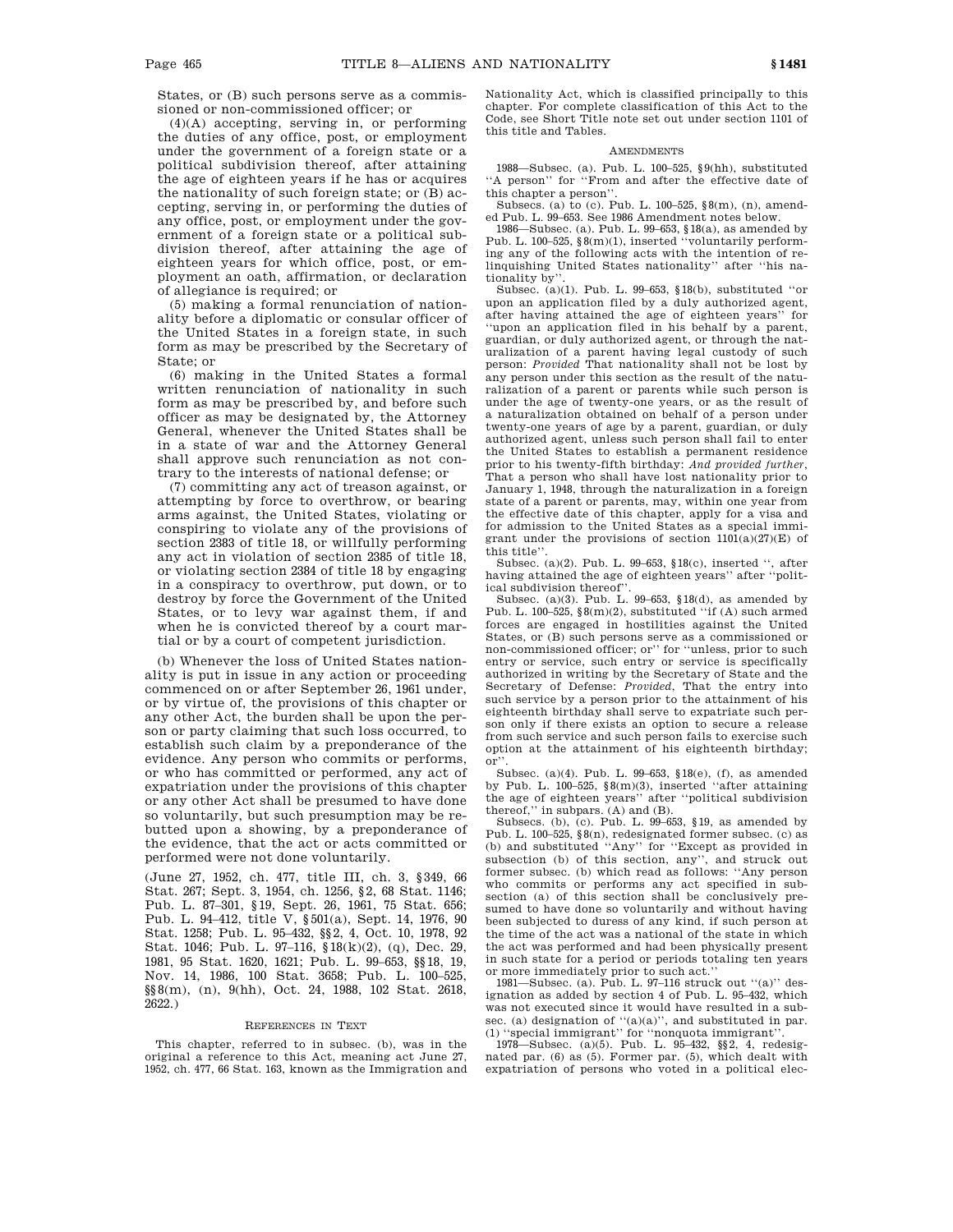States, or (B) such persons serve as a commissioned or non-commissioned officer; or

(4)(A) accepting, serving in, or performing the duties of any office, post, or employment under the government of a foreign state or a political subdivision thereof, after attaining the age of eighteen years if he has or acquires the nationality of such foreign state; or (B) accepting, serving in, or performing the duties of any office, post, or employment under the government of a foreign state or a political subdivision thereof, after attaining the age of eighteen years for which office, post, or employment an oath, affirmation, or declaration of allegiance is required; or

(5) making a formal renunciation of nationality before a diplomatic or consular officer of the United States in a foreign state, in such form as may be prescribed by the Secretary of State; or

(6) making in the United States a formal written renunciation of nationality in such form as may be prescribed by, and before such officer as may be designated by, the Attorney General, whenever the United States shall be in a state of war and the Attorney General shall approve such renunciation as not contrary to the interests of national defense; or

(7) committing any act of treason against, or attempting by force to overthrow, or bearing arms against, the United States, violating or conspiring to violate any of the provisions of section 2383 of title 18, or willfully performing any act in violation of section 2385 of title 18, or violating section 2384 of title 18 by engaging in a conspiracy to overthrow, put down, or to destroy by force the Government of the United States, or to levy war against them, if and when he is convicted thereof by a court martial or by a court of competent jurisdiction.

(b) Whenever the loss of United States nationality is put in issue in any action or proceeding commenced on or after September 26, 1961 under, or by virtue of, the provisions of this chapter or any other Act, the burden shall be upon the person or party claiming that such loss occurred, to establish such claim by a preponderance of the evidence. Any person who commits or performs, or who has committed or performed, any act of expatriation under the provisions of this chapter or any other Act shall be presumed to have done so voluntarily, but such presumption may be rebutted upon a showing, by a preponderance of the evidence, that the act or acts committed or performed were not done voluntarily.

(June 27, 1952, ch. 477, title III, ch. 3, §349, 66 Stat. 267; Sept. 3, 1954, ch. 1256, §2, 68 Stat. 1146; Pub. L. 87–301, §19, Sept. 26, 1961, 75 Stat. 656; Pub. L. 94–412, title V, §501(a), Sept. 14, 1976, 90 Stat. 1258; Pub. L. 95–432, §§2, 4, Oct. 10, 1978, 92 Stat. 1046; Pub. L. 97–116, §18(k)(2), (q), Dec. 29, 1981, 95 Stat. 1620, 1621; Pub. L. 99–653, §§18, 19, Nov. 14, 1986, 100 Stat. 3658; Pub. L. 100–525, §§8(m), (n), 9(hh), Oct. 24, 1988, 102 Stat. 2618, 2622.)

#### REFERENCES IN TEXT

This chapter, referred to in subsec. (b), was in the original a reference to this Act, meaning act June 27, 1952, ch. 477, 66 Stat. 163, known as the Immigration and Nationality Act, which is classified principally to this chapter. For complete classification of this Act to the Code, see Short Title note set out under section 1101 of this title and Tables.

### **AMENDMENTS**

1988—Subsec. (a). Pub. L. 100–525, §9(hh), substituted ''A person'' for ''From and after the effective date of this chapter a person''.

Subsecs. (a) to (c). Pub. L. 100–525, §8(m), (n), amended Pub. L. 99–653. See 1986 Amendment notes below.

1986—Subsec. (a). Pub. L. 99–653, §18(a), as amended by Pub. L. 100–525, §8(m)(1), inserted ''voluntarily performing any of the following acts with the intention of relinquishing United States nationality'' after ''his nationality by''.

Subsec. (a)(1). Pub. L. 99–653, §18(b), substituted ''or upon an application filed by a duly authorized agent, after having attained the age of eighteen years'' for 'upon an application filed in his behalf by a parent, guardian, or duly authorized agent, or through the naturalization of a parent having legal custody of such person: *Provided* That nationality shall not be lost by any person under this section as the result of the naturalization of a parent or parents while such person is under the age of twenty-one years, or as the result of a naturalization obtained on behalf of a person under twenty-one years of age by a parent, guardian, or duly authorized agent, unless such person shall fail to enter the United States to establish a permanent residence prior to his twenty-fifth birthday: *And provided further*, That a person who shall have lost nationality prior to January 1, 1948, through the naturalization in a foreign state of a parent or parents, may, within one year from the effective date of this chapter, apply for a visa and for admission to the United States as a special immigrant under the provisions of section  $1101(a)(27)(E)$  of this title''.

Subsec. (a)(2). Pub. L. 99–653, §18(c), inserted '', after having attained the age of eighteen years'' after ''political subdivision thereof''.

Subsec. (a)(3). Pub. L. 99–653,  $$18(d)$ , as amended by Pub. L. 100–525, §8(m)(2), substituted ''if (A) such armed forces are engaged in hostilities against the United States, or (B) such persons serve as a commissioned or non-commissioned officer; or'' for ''unless, prior to such entry or service, such entry or service is specifically authorized in writing by the Secretary of State and the Secretary of Defense: *Provided*, That the entry into such service by a person prior to the attainment of his eighteenth birthday shall serve to expatriate such person only if there exists an option to secure a release from such service and such person fails to exercise such option at the attainment of his eighteenth birthday; or''.

Subsec. (a)(4). Pub. L. 99–653, §18(e), (f), as amended by Pub. L. 100–525,  $\frac{8}{0}$ (3), inserted "after attaining the age of eighteen years'' after ''political subdivision thereof,'' in subpars. (A) and (B).

Subsecs. (b), (c). Pub. L. 99–653, §19, as amended by Pub. L. 100–525, §8(n), redesignated former subsec. (c) as (b) and substituted ''Any'' for ''Except as provided in subsection (b) of this section, any'', and struck out former subsec. (b) which read as follows: ''Any person who commits or performs any act specified in subsection (a) of this section shall be conclusively presumed to have done so voluntarily and without having been subjected to duress of any kind, if such person at the time of the act was a national of the state in which the act was performed and had been physically present in such state for a period or periods totaling ten years or more immediately prior to such act.''

1981—Subsec. (a). Pub. L. 97–116 struck out ''(a)'' designation as added by section 4 of Pub. L. 95–432, which was not executed since it would have resulted in a subsec. (a) designation of "(a)(a)", and substituted in par. (1) ''special immigrant'' for ''nonquota immigrant''.

1978—Subsec. (a)(5). Pub. L. 95–432, §§2, 4, redesignated par. (6) as (5). Former par. (5), which dealt with expatriation of persons who voted in a political elec-